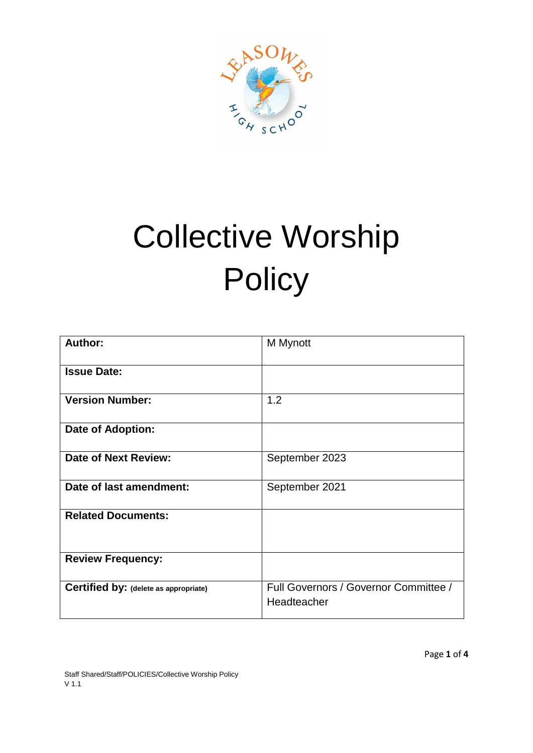

# Collective Worship **Policy**

| Author:                               | M Mynott                                             |
|---------------------------------------|------------------------------------------------------|
| <b>Issue Date:</b>                    |                                                      |
| <b>Version Number:</b>                | 1.2                                                  |
| Date of Adoption:                     |                                                      |
| Date of Next Review:                  | September 2023                                       |
| Date of last amendment:               | September 2021                                       |
| <b>Related Documents:</b>             |                                                      |
| <b>Review Frequency:</b>              |                                                      |
| Certified by: (delete as appropriate) | Full Governors / Governor Committee /<br>Headteacher |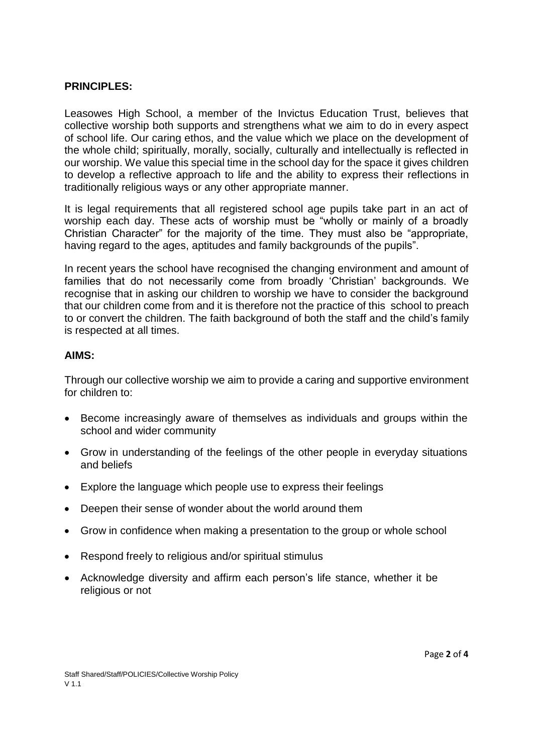#### **PRINCIPLES:**

Leasowes High School, a member of the Invictus Education Trust, believes that collective worship both supports and strengthens what we aim to do in every aspect of school life. Our caring ethos, and the value which we place on the development of the whole child; spiritually, morally, socially, culturally and intellectually is reflected in our worship. We value this special time in the school day for the space it gives children to develop a reflective approach to life and the ability to express their reflections in traditionally religious ways or any other appropriate manner.

It is legal requirements that all registered school age pupils take part in an act of worship each day. These acts of worship must be "wholly or mainly of a broadly Christian Character" for the majority of the time. They must also be "appropriate, having regard to the ages, aptitudes and family backgrounds of the pupils".

In recent years the school have recognised the changing environment and amount of families that do not necessarily come from broadly 'Christian' backgrounds. We recognise that in asking our children to worship we have to consider the background that our children come from and it is therefore not the practice of this school to preach to or convert the children. The faith background of both the staff and the child's family is respected at all times.

#### **AIMS:**

Through our collective worship we aim to provide a caring and supportive environment for children to:

- Become increasingly aware of themselves as individuals and groups within the school and wider community
- Grow in understanding of the feelings of the other people in everyday situations and beliefs
- Explore the language which people use to express their feelings
- Deepen their sense of wonder about the world around them
- Grow in confidence when making a presentation to the group or whole school
- Respond freely to religious and/or spiritual stimulus
- Acknowledge diversity and affirm each person's life stance, whether it be religious or not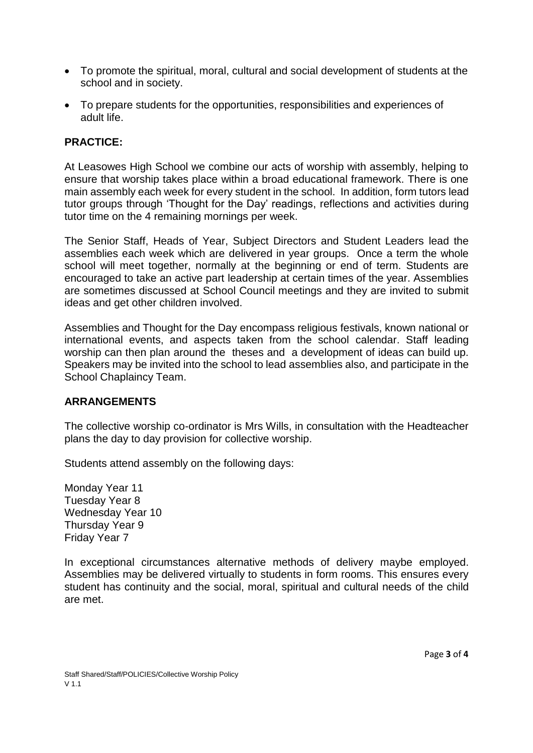- To promote the spiritual, moral, cultural and social development of students at the school and in society.
- To prepare students for the opportunities, responsibilities and experiences of adult life.

# **PRACTICE:**

At Leasowes High School we combine our acts of worship with assembly, helping to ensure that worship takes place within a broad educational framework. There is one main assembly each week for every student in the school. In addition, form tutors lead tutor groups through 'Thought for the Day' readings, reflections and activities during tutor time on the 4 remaining mornings per week.

The Senior Staff, Heads of Year, Subject Directors and Student Leaders lead the assemblies each week which are delivered in year groups. Once a term the whole school will meet together, normally at the beginning or end of term. Students are encouraged to take an active part leadership at certain times of the year. Assemblies are sometimes discussed at School Council meetings and they are invited to submit ideas and get other children involved.

Assemblies and Thought for the Day encompass religious festivals, known national or international events, and aspects taken from the school calendar. Staff leading worship can then plan around the theses and a development of ideas can build up. Speakers may be invited into the school to lead assemblies also, and participate in the School Chaplaincy Team.

#### **ARRANGEMENTS**

The collective worship co-ordinator is Mrs Wills, in consultation with the Headteacher plans the day to day provision for collective worship.

Students attend assembly on the following days:

Monday Year 11 Tuesday Year 8 Wednesday Year 10 Thursday Year 9 Friday Year 7

In exceptional circumstances alternative methods of delivery maybe employed. Assemblies may be delivered virtually to students in form rooms. This ensures every student has continuity and the social, moral, spiritual and cultural needs of the child are met.